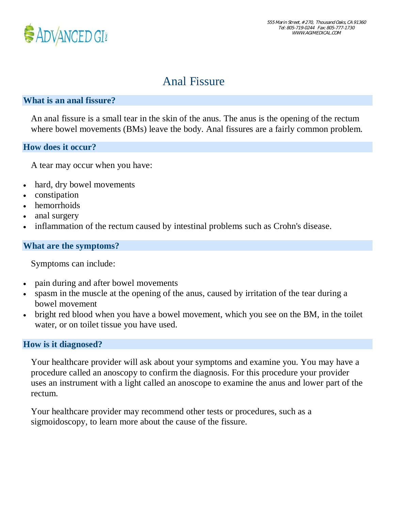

# Anal Fissure

## **What is an anal fissure?**

An anal fissure is a small tear in the skin of the anus. The anus is the opening of the rectum where bowel movements (BMs) leave the body. Anal fissures are a fairly common problem.

#### **How does it occur?**

A tear may occur when you have:

- hard, dry bowel movements
- · constipation
- hemorrhoids
- anal surgery
- inflammation of the rectum caused by intestinal problems such as Crohn's disease.

#### **What are the symptoms?**

Symptoms can include:

- pain during and after bowel movements
- spasm in the muscle at the opening of the anus, caused by irritation of the tear during a bowel movement
- bright red blood when you have a bowel movement, which you see on the BM, in the toilet water, or on toilet tissue you have used.

#### **How is it diagnosed?**

Your healthcare provider will ask about your symptoms and examine you. You may have a procedure called an anoscopy to confirm the diagnosis. For this procedure your provider uses an instrument with a light called an anoscope to examine the anus and lower part of the rectum.

Your healthcare provider may recommend other tests or procedures, such as a sigmoidoscopy, to learn more about the cause of the fissure.